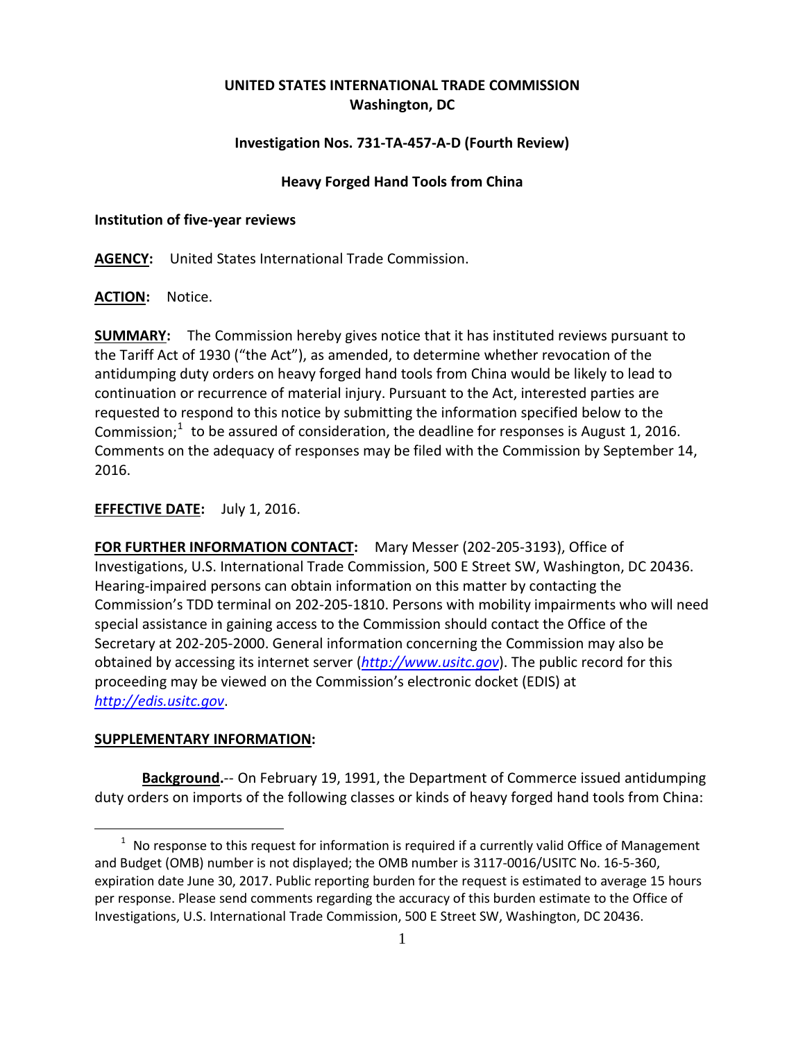# **UNITED STATES INTERNATIONAL TRADE COMMISSION Washington, DC**

## **Investigation Nos. 731-TA-457-A-D (Fourth Review)**

### **Heavy Forged Hand Tools from China**

#### **Institution of five-year reviews**

**AGENCY:** United States International Trade Commission.

**ACTION:** Notice.

**SUMMARY:** The Commission hereby gives notice that it has instituted reviews pursuant to the Tariff Act of 1930 ("the Act"), as amended, to determine whether revocation of the antidumping duty orders on heavy forged hand tools from China would be likely to lead to continuation or recurrence of material injury. Pursuant to the Act, interested parties are requested to respond to this notice by submitting the information specified below to the Commission; $1$  to be assured of consideration, the deadline for responses is August 1, 2016. Comments on the adequacy of responses may be filed with the Commission by September 14, 2016.

## **EFFECTIVE DATE:** July 1, 2016.

**FOR FURTHER INFORMATION CONTACT:** Mary Messer (202-205-3193), Office of Investigations, U.S. International Trade Commission, 500 E Street SW, Washington, DC 20436. Hearing-impaired persons can obtain information on this matter by contacting the Commission's TDD terminal on 202-205-1810. Persons with mobility impairments who will need special assistance in gaining access to the Commission should contact the Office of the Secretary at 202-205-2000. General information concerning the Commission may also be obtained by accessing its internet server (*[http://www.usitc.gov](http://www.usitc.gov/)*). The public record for this proceeding may be viewed on the Commission's electronic docket (EDIS) at *[http://edis.usitc.gov](http://edis.usitc.gov/)*.

#### **SUPPLEMENTARY INFORMATION:**

 $\overline{a}$ 

**Background.**-- On February 19, 1991, the Department of Commerce issued antidumping duty orders on imports of the following classes or kinds of heavy forged hand tools from China:

<span id="page-0-0"></span> $1$  No response to this request for information is required if a currently valid Office of Management and Budget (OMB) number is not displayed; the OMB number is 3117-0016/USITC No. 16-5-360, expiration date June 30, 2017. Public reporting burden for the request is estimated to average 15 hours per response. Please send comments regarding the accuracy of this burden estimate to the Office of Investigations, U.S. International Trade Commission, 500 E Street SW, Washington, DC 20436.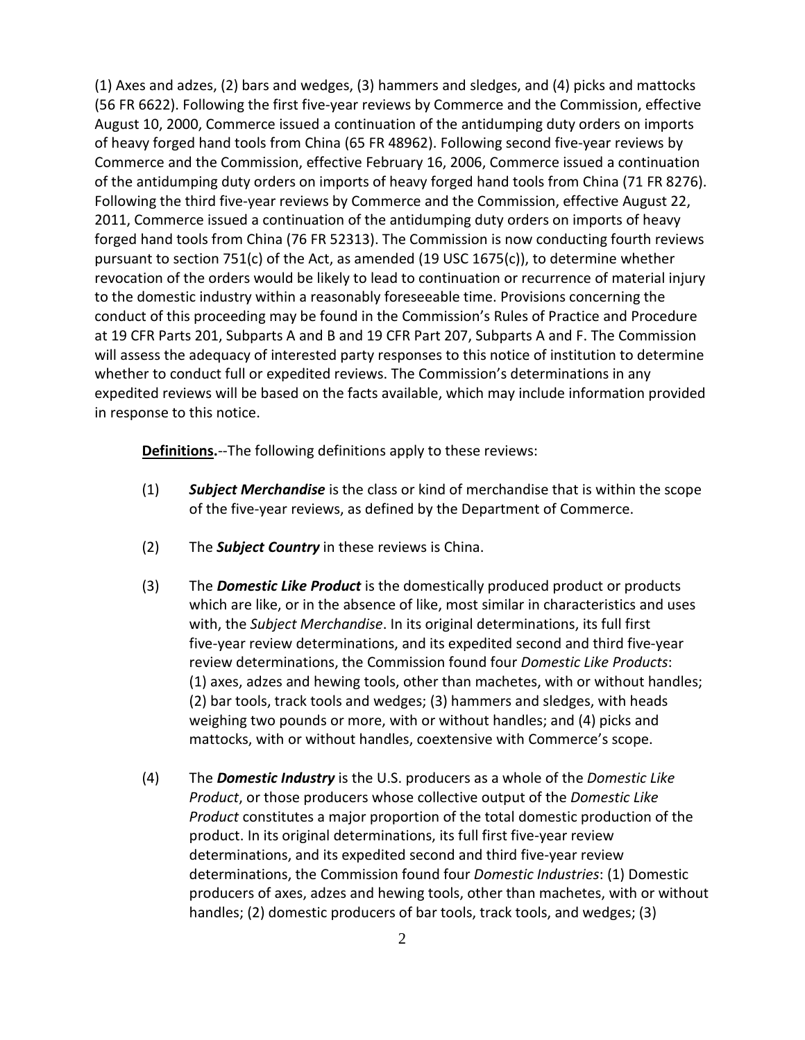(1) Axes and adzes, (2) bars and wedges, (3) hammers and sledges, and (4) picks and mattocks (56 FR 6622). Following the first five-year reviews by Commerce and the Commission, effective August 10, 2000, Commerce issued a continuation of the antidumping duty orders on imports of heavy forged hand tools from China (65 FR 48962). Following second five-year reviews by Commerce and the Commission, effective February 16, 2006, Commerce issued a continuation of the antidumping duty orders on imports of heavy forged hand tools from China (71 FR 8276). Following the third five-year reviews by Commerce and the Commission, effective August 22, 2011, Commerce issued a continuation of the antidumping duty orders on imports of heavy forged hand tools from China (76 FR 52313). The Commission is now conducting fourth reviews pursuant to section 751(c) of the Act, as amended (19 USC 1675(c)), to determine whether revocation of the orders would be likely to lead to continuation or recurrence of material injury to the domestic industry within a reasonably foreseeable time. Provisions concerning the conduct of this proceeding may be found in the Commission's Rules of Practice and Procedure at 19 CFR Parts 201, Subparts A and B and 19 CFR Part 207, Subparts A and F. The Commission will assess the adequacy of interested party responses to this notice of institution to determine whether to conduct full or expedited reviews. The Commission's determinations in any expedited reviews will be based on the facts available, which may include information provided in response to this notice.

**Definitions.**--The following definitions apply to these reviews:

- (1) *Subject Merchandise* is the class or kind of merchandise that is within the scope of the five-year reviews, as defined by the Department of Commerce.
- (2) The *Subject Country* in these reviews is China.
- (3) The *Domestic Like Product* is the domestically produced product or products which are like, or in the absence of like, most similar in characteristics and uses with, the *Subject Merchandise*. In its original determinations, its full first five-year review determinations, and its expedited second and third five-year review determinations, the Commission found four *Domestic Like Products*: (1) axes, adzes and hewing tools, other than machetes, with or without handles; (2) bar tools, track tools and wedges; (3) hammers and sledges, with heads weighing two pounds or more, with or without handles; and (4) picks and mattocks, with or without handles, coextensive with Commerce's scope.
- (4) The *Domestic Industry* is the U.S. producers as a whole of the *Domestic Like Product*, or those producers whose collective output of the *Domestic Like Product* constitutes a major proportion of the total domestic production of the product. In its original determinations, its full first five-year review determinations, and its expedited second and third five-year review determinations, the Commission found four *Domestic Industries*: (1) Domestic producers of axes, adzes and hewing tools, other than machetes, with or without handles; (2) domestic producers of bar tools, track tools, and wedges; (3)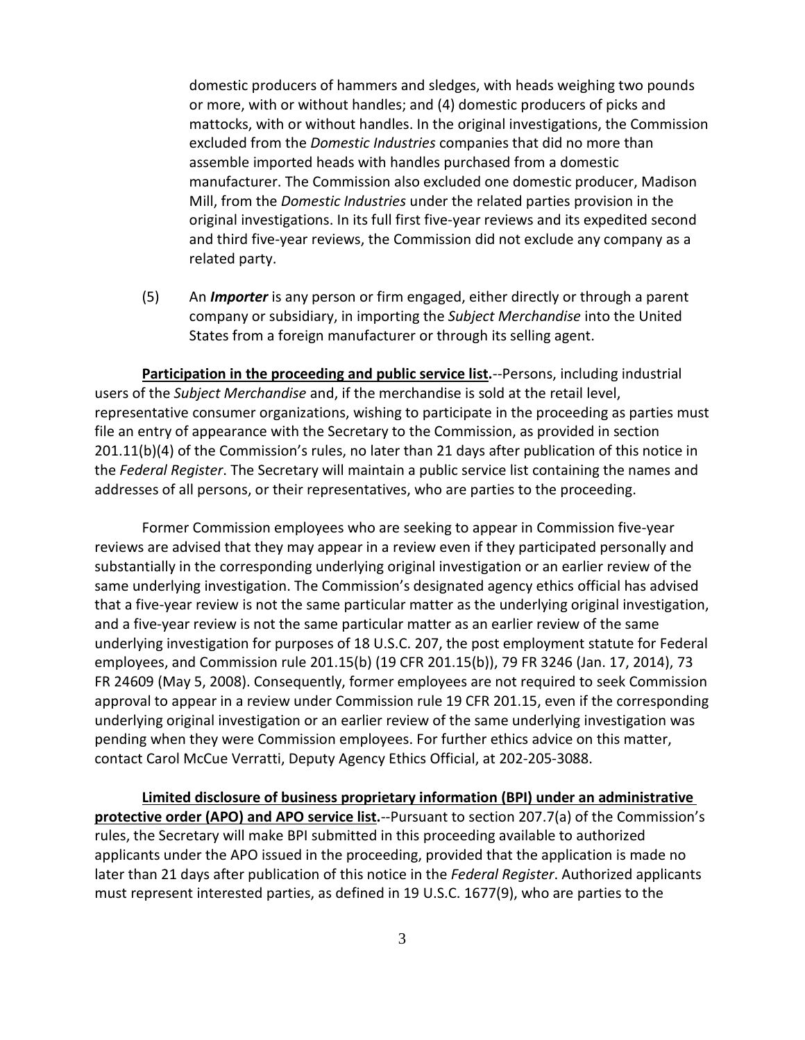domestic producers of hammers and sledges, with heads weighing two pounds or more, with or without handles; and (4) domestic producers of picks and mattocks, with or without handles. In the original investigations, the Commission excluded from the *Domestic Industries* companies that did no more than assemble imported heads with handles purchased from a domestic manufacturer. The Commission also excluded one domestic producer, Madison Mill, from the *Domestic Industries* under the related parties provision in the original investigations. In its full first five-year reviews and its expedited second and third five-year reviews, the Commission did not exclude any company as a related party.

(5) An *Importer* is any person or firm engaged, either directly or through a parent company or subsidiary, in importing the *Subject Merchandise* into the United States from a foreign manufacturer or through its selling agent.

**Participation in the proceeding and public service list.**--Persons, including industrial users of the *Subject Merchandise* and, if the merchandise is sold at the retail level, representative consumer organizations, wishing to participate in the proceeding as parties must file an entry of appearance with the Secretary to the Commission, as provided in section 201.11(b)(4) of the Commission's rules, no later than 21 days after publication of this notice in the *Federal Register*. The Secretary will maintain a public service list containing the names and addresses of all persons, or their representatives, who are parties to the proceeding.

Former Commission employees who are seeking to appear in Commission five-year reviews are advised that they may appear in a review even if they participated personally and substantially in the corresponding underlying original investigation or an earlier review of the same underlying investigation. The Commission's designated agency ethics official has advised that a five-year review is not the same particular matter as the underlying original investigation, and a five-year review is not the same particular matter as an earlier review of the same underlying investigation for purposes of 18 U.S.C. 207, the post employment statute for Federal employees, and Commission rule 201.15(b) (19 CFR 201.15(b)), 79 FR 3246 (Jan. 17, 2014), 73 FR 24609 (May 5, 2008). Consequently, former employees are not required to seek Commission approval to appear in a review under Commission rule 19 CFR 201.15, even if the corresponding underlying original investigation or an earlier review of the same underlying investigation was pending when they were Commission employees. For further ethics advice on this matter, contact Carol McCue Verratti, Deputy Agency Ethics Official, at 202-205-3088.

**Limited disclosure of business proprietary information (BPI) under an administrative protective order (APO) and APO service list.**--Pursuant to section 207.7(a) of the Commission's rules, the Secretary will make BPI submitted in this proceeding available to authorized applicants under the APO issued in the proceeding, provided that the application is made no later than 21 days after publication of this notice in the *Federal Register*. Authorized applicants must represent interested parties, as defined in 19 U.S.C. 1677(9), who are parties to the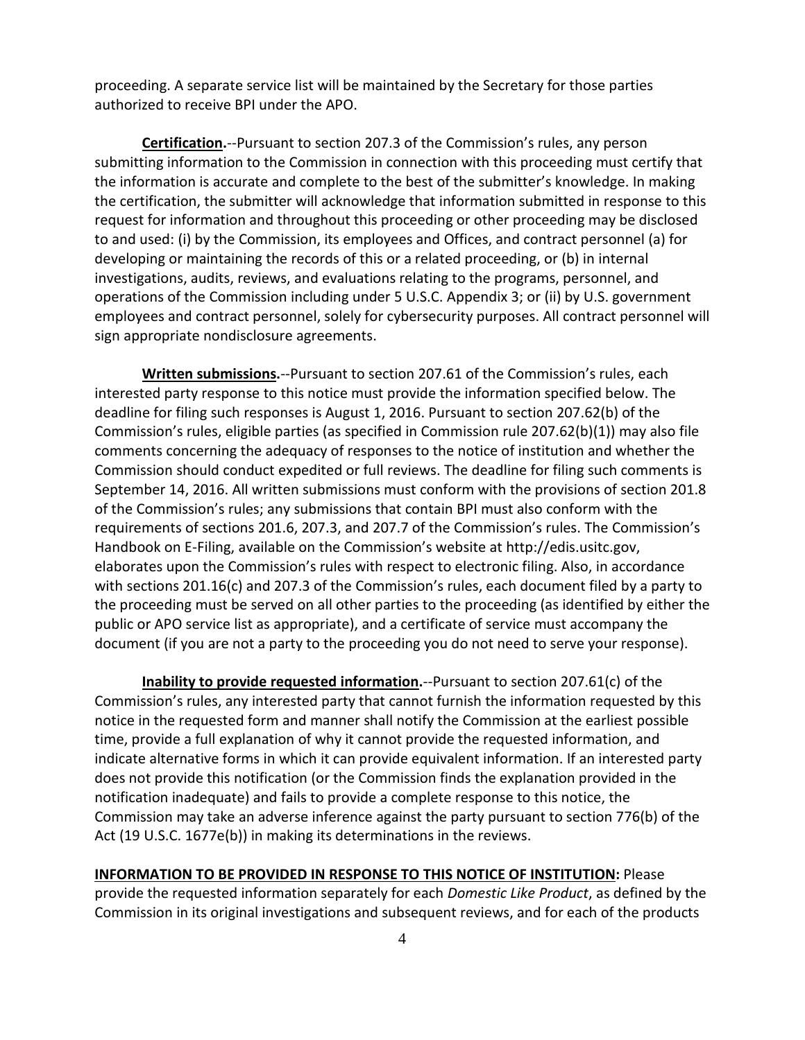proceeding. A separate service list will be maintained by the Secretary for those parties authorized to receive BPI under the APO.

**Certification.**--Pursuant to section 207.3 of the Commission's rules, any person submitting information to the Commission in connection with this proceeding must certify that the information is accurate and complete to the best of the submitter's knowledge. In making the certification, the submitter will acknowledge that information submitted in response to this request for information and throughout this proceeding or other proceeding may be disclosed to and used: (i) by the Commission, its employees and Offices, and contract personnel (a) for developing or maintaining the records of this or a related proceeding, or (b) in internal investigations, audits, reviews, and evaluations relating to the programs, personnel, and operations of the Commission including under 5 U.S.C. Appendix 3; or (ii) by U.S. government employees and contract personnel, solely for cybersecurity purposes. All contract personnel will sign appropriate nondisclosure agreements.

**Written submissions.**--Pursuant to section 207.61 of the Commission's rules, each interested party response to this notice must provide the information specified below. The deadline for filing such responses is August 1, 2016. Pursuant to section 207.62(b) of the Commission's rules, eligible parties (as specified in Commission rule 207.62(b)(1)) may also file comments concerning the adequacy of responses to the notice of institution and whether the Commission should conduct expedited or full reviews. The deadline for filing such comments is September 14, 2016. All written submissions must conform with the provisions of section 201.8 of the Commission's rules; any submissions that contain BPI must also conform with the requirements of sections 201.6, 207.3, and 207.7 of the Commission's rules. The Commission's Handbook on E-Filing, available on the Commission's website at http://edis.usitc.gov, elaborates upon the Commission's rules with respect to electronic filing. Also, in accordance with sections 201.16(c) and 207.3 of the Commission's rules, each document filed by a party to the proceeding must be served on all other parties to the proceeding (as identified by either the public or APO service list as appropriate), and a certificate of service must accompany the document (if you are not a party to the proceeding you do not need to serve your response).

**Inability to provide requested information.**--Pursuant to section 207.61(c) of the Commission's rules, any interested party that cannot furnish the information requested by this notice in the requested form and manner shall notify the Commission at the earliest possible time, provide a full explanation of why it cannot provide the requested information, and indicate alternative forms in which it can provide equivalent information. If an interested party does not provide this notification (or the Commission finds the explanation provided in the notification inadequate) and fails to provide a complete response to this notice, the Commission may take an adverse inference against the party pursuant to section 776(b) of the Act (19 U.S.C. 1677e(b)) in making its determinations in the reviews.

**INFORMATION TO BE PROVIDED IN RESPONSE TO THIS NOTICE OF INSTITUTION:** Please provide the requested information separately for each *Domestic Like Product*, as defined by the Commission in its original investigations and subsequent reviews, and for each of the products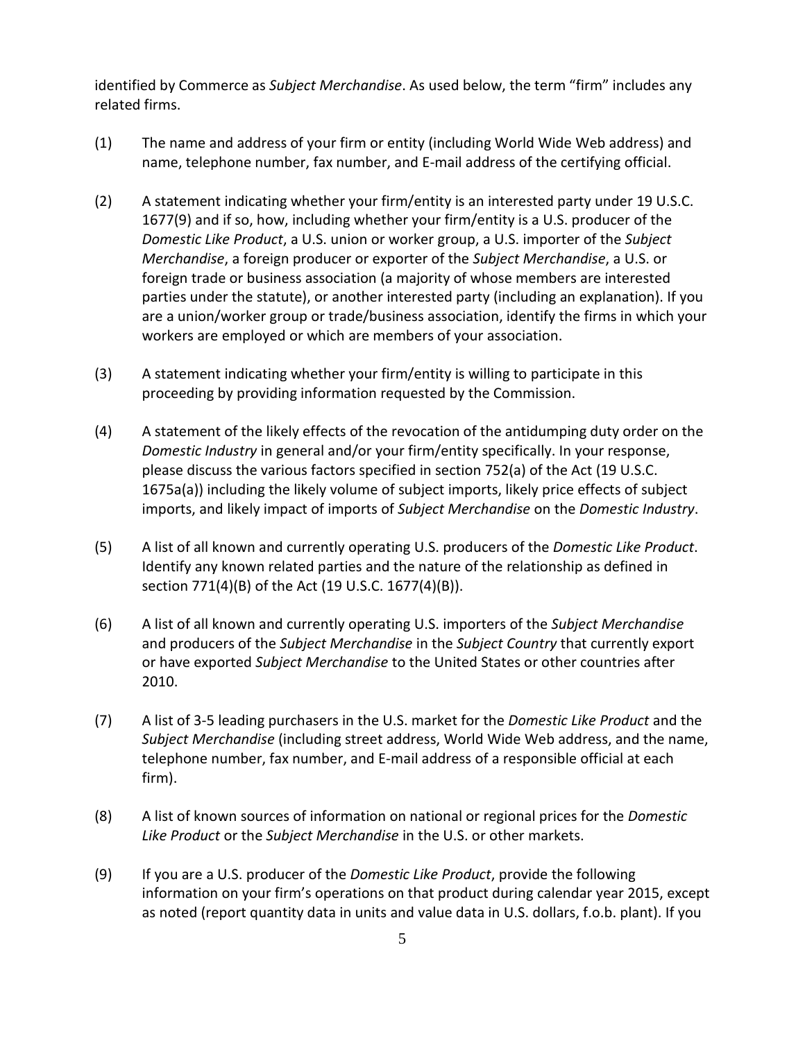identified by Commerce as *Subject Merchandise*. As used below, the term "firm" includes any related firms.

- (1) The name and address of your firm or entity (including World Wide Web address) and name, telephone number, fax number, and E-mail address of the certifying official.
- (2) A statement indicating whether your firm/entity is an interested party under 19 U.S.C. 1677(9) and if so, how, including whether your firm/entity is a U.S. producer of the *Domestic Like Product*, a U.S. union or worker group, a U.S. importer of the *Subject Merchandise*, a foreign producer or exporter of the *Subject Merchandise*, a U.S. or foreign trade or business association (a majority of whose members are interested parties under the statute), or another interested party (including an explanation). If you are a union/worker group or trade/business association, identify the firms in which your workers are employed or which are members of your association.
- (3) A statement indicating whether your firm/entity is willing to participate in this proceeding by providing information requested by the Commission.
- (4) A statement of the likely effects of the revocation of the antidumping duty order on the *Domestic Industry* in general and/or your firm/entity specifically. In your response, please discuss the various factors specified in section 752(a) of the Act (19 U.S.C. 1675a(a)) including the likely volume of subject imports, likely price effects of subject imports, and likely impact of imports of *Subject Merchandise* on the *Domestic Industry*.
- (5) A list of all known and currently operating U.S. producers of the *Domestic Like Product*. Identify any known related parties and the nature of the relationship as defined in section 771(4)(B) of the Act (19 U.S.C. 1677(4)(B)).
- (6) A list of all known and currently operating U.S. importers of the *Subject Merchandise* and producers of the *Subject Merchandise* in the *Subject Country* that currently export or have exported *Subject Merchandise* to the United States or other countries after 2010.
- (7) A list of 3-5 leading purchasers in the U.S. market for the *Domestic Like Product* and the *Subject Merchandise* (including street address, World Wide Web address, and the name, telephone number, fax number, and E-mail address of a responsible official at each firm).
- (8) A list of known sources of information on national or regional prices for the *Domestic Like Product* or the *Subject Merchandise* in the U.S. or other markets.
- (9) If you are a U.S. producer of the *Domestic Like Product*, provide the following information on your firm's operations on that product during calendar year 2015, except as noted (report quantity data in units and value data in U.S. dollars, f.o.b. plant). If you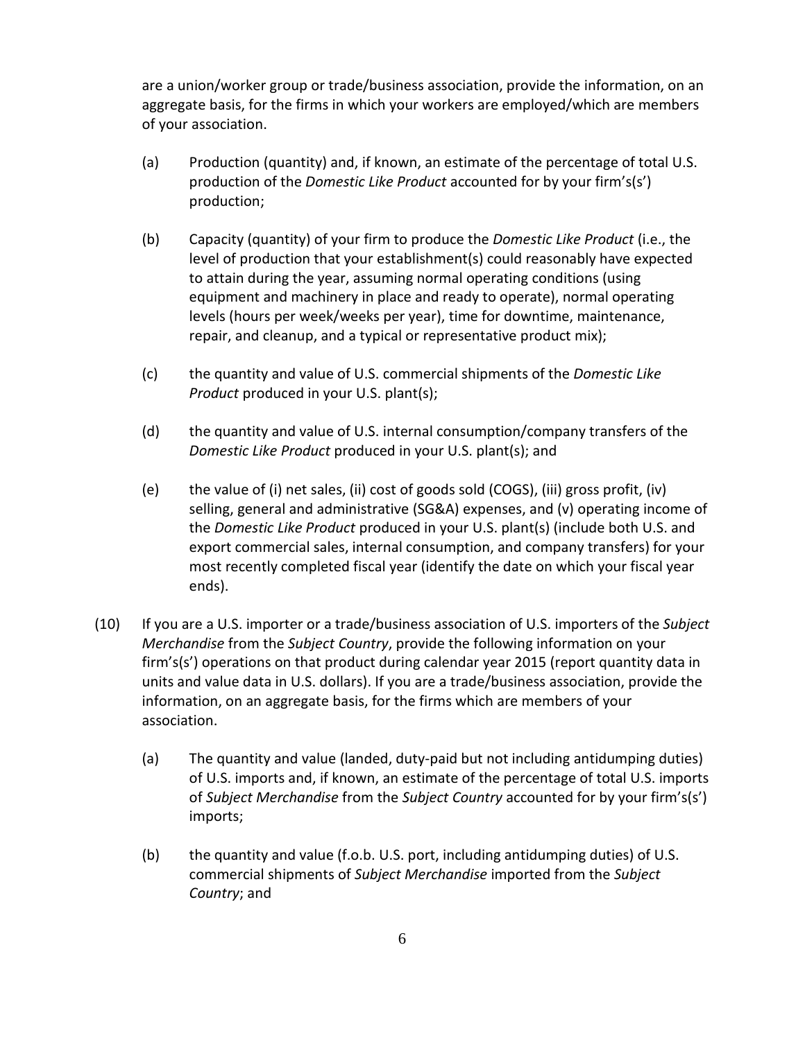are a union/worker group or trade/business association, provide the information, on an aggregate basis, for the firms in which your workers are employed/which are members of your association.

- (a) Production (quantity) and, if known, an estimate of the percentage of total U.S. production of the *Domestic Like Product* accounted for by your firm's(s') production;
- (b) Capacity (quantity) of your firm to produce the *Domestic Like Product* (i.e., the level of production that your establishment(s) could reasonably have expected to attain during the year, assuming normal operating conditions (using equipment and machinery in place and ready to operate), normal operating levels (hours per week/weeks per year), time for downtime, maintenance, repair, and cleanup, and a typical or representative product mix);
- (c) the quantity and value of U.S. commercial shipments of the *Domestic Like Product* produced in your U.S. plant(s);
- (d) the quantity and value of U.S. internal consumption/company transfers of the *Domestic Like Product* produced in your U.S. plant(s); and
- (e) the value of (i) net sales, (ii) cost of goods sold (COGS), (iii) gross profit, (iv) selling, general and administrative (SG&A) expenses, and (v) operating income of the *Domestic Like Product* produced in your U.S. plant(s) (include both U.S. and export commercial sales, internal consumption, and company transfers) for your most recently completed fiscal year (identify the date on which your fiscal year ends).
- (10) If you are a U.S. importer or a trade/business association of U.S. importers of the *Subject Merchandise* from the *Subject Country*, provide the following information on your firm's(s') operations on that product during calendar year 2015 (report quantity data in units and value data in U.S. dollars). If you are a trade/business association, provide the information, on an aggregate basis, for the firms which are members of your association.
	- (a) The quantity and value (landed, duty-paid but not including antidumping duties) of U.S. imports and, if known, an estimate of the percentage of total U.S. imports of *Subject Merchandise* from the *Subject Country* accounted for by your firm's(s') imports;
	- (b) the quantity and value (f.o.b. U.S. port, including antidumping duties) of U.S. commercial shipments of *Subject Merchandise* imported from the *Subject Country*; and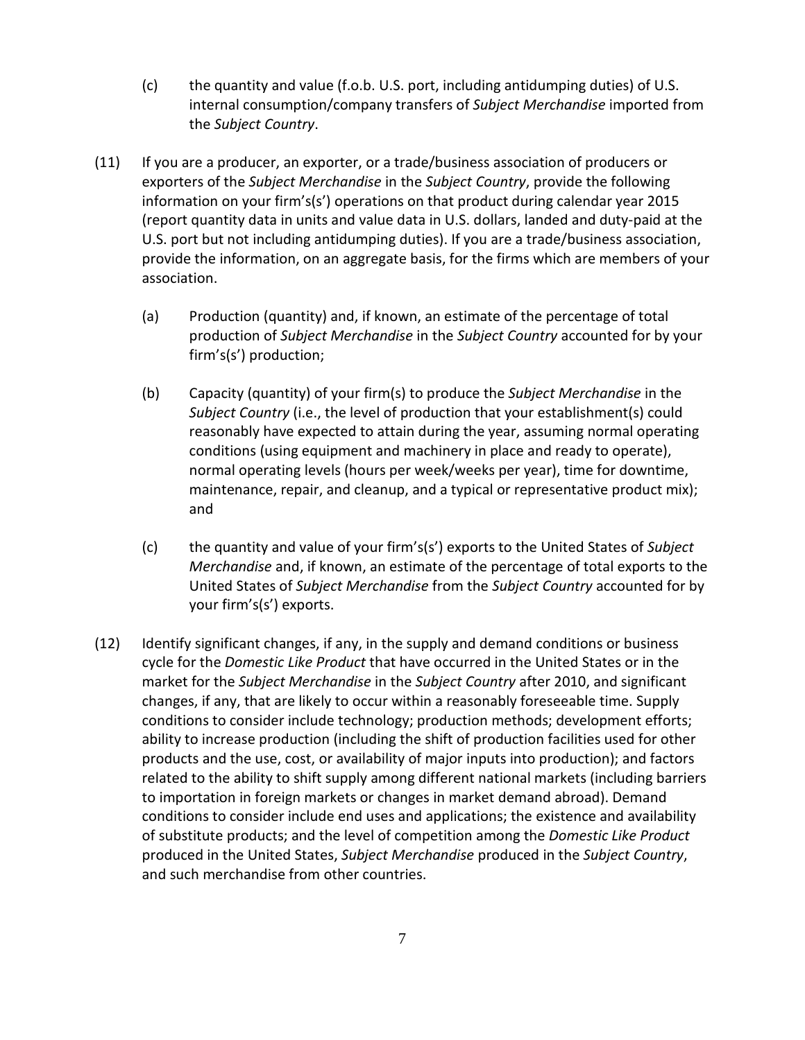- (c) the quantity and value (f.o.b. U.S. port, including antidumping duties) of U.S. internal consumption/company transfers of *Subject Merchandise* imported from the *Subject Country*.
- (11) If you are a producer, an exporter, or a trade/business association of producers or exporters of the *Subject Merchandise* in the *Subject Country*, provide the following information on your firm's(s') operations on that product during calendar year 2015 (report quantity data in units and value data in U.S. dollars, landed and duty-paid at the U.S. port but not including antidumping duties). If you are a trade/business association, provide the information, on an aggregate basis, for the firms which are members of your association.
	- (a) Production (quantity) and, if known, an estimate of the percentage of total production of *Subject Merchandise* in the *Subject Country* accounted for by your firm's(s') production;
	- (b) Capacity (quantity) of your firm(s) to produce the *Subject Merchandise* in the *Subject Country* (i.e., the level of production that your establishment(s) could reasonably have expected to attain during the year, assuming normal operating conditions (using equipment and machinery in place and ready to operate), normal operating levels (hours per week/weeks per year), time for downtime, maintenance, repair, and cleanup, and a typical or representative product mix); and
	- (c) the quantity and value of your firm's(s') exports to the United States of *Subject Merchandise* and, if known, an estimate of the percentage of total exports to the United States of *Subject Merchandise* from the *Subject Country* accounted for by your firm's(s') exports.
- (12) Identify significant changes, if any, in the supply and demand conditions or business cycle for the *Domestic Like Product* that have occurred in the United States or in the market for the *Subject Merchandise* in the *Subject Country* after 2010, and significant changes, if any, that are likely to occur within a reasonably foreseeable time. Supply conditions to consider include technology; production methods; development efforts; ability to increase production (including the shift of production facilities used for other products and the use, cost, or availability of major inputs into production); and factors related to the ability to shift supply among different national markets (including barriers to importation in foreign markets or changes in market demand abroad). Demand conditions to consider include end uses and applications; the existence and availability of substitute products; and the level of competition among the *Domestic Like Product* produced in the United States, *Subject Merchandise* produced in the *Subject Country*, and such merchandise from other countries.